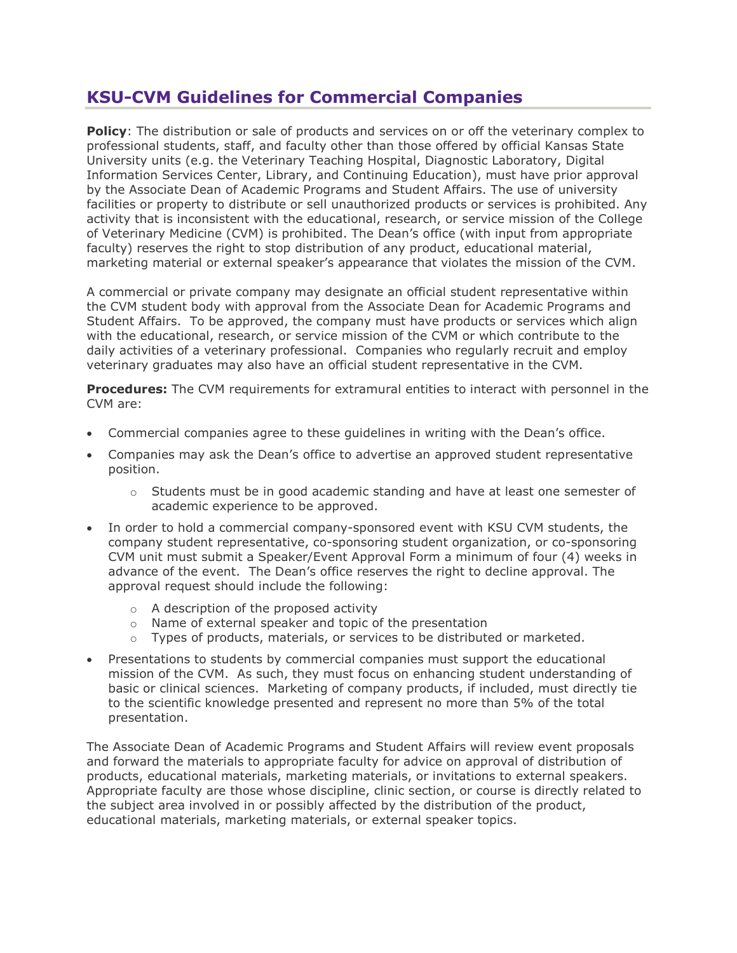## **KSU-CVM Guidelines for Commercial Companies**

**Policy**: The distribution or sale of products and services on or off the veterinary complex to professional students, staff, and faculty other than those offered by official Kansas State University units (e.g. the Veterinary Teaching Hospital, Diagnostic Laboratory, Digital Information Services Center, Library, and Continuing Education), must have prior approval by the Associate Dean of Academic Programs and Student Affairs. The use of university facilities or property to distribute or sell unauthorized products or services is prohibited. Any activity that is inconsistent with the educational, research, or service mission of the College of Veterinary Medicine (CVM) is prohibited. The Dean's office (with input from appropriate faculty) reserves the right to stop distribution of any product, educational material, marketing material or external speaker's appearance that violates the mission of the CVM.

A commercial or private company may designate an official student representative within the CVM student body with approval from the Associate Dean for Academic Programs and Student Affairs. To be approved, the company must have products or services which align with the educational, research, or service mission of the CVM or which contribute to the daily activities of a veterinary professional. Companies who regularly recruit and employ veterinary graduates may also have an official student representative in the CVM.

**Procedures:** The CVM requirements for extramural entities to interact with personnel in the CVM are:

- Commercial companies agree to these guidelines in writing with the Dean's office.
- Companies may ask the Dean's office to advertise an approved student representative position.
	- $\circ$  Students must be in good academic standing and have at least one semester of academic experience to be approved.
- In order to hold a commercial company-sponsored event with KSU CVM students, the company student representative, co-sponsoring student organization, or co-sponsoring CVM unit must submit a Speaker/Event Approval Form a minimum of four (4) weeks in advance of the event. The Dean's office reserves the right to decline approval. The approval request should include the following:
	- o A description of the proposed activity
	- o Name of external speaker and topic of the presentation
	- $\circ$  Types of products, materials, or services to be distributed or marketed.
- Presentations to students by commercial companies must support the educational mission of the CVM. As such, they must focus on enhancing student understanding of basic or clinical sciences. Marketing of company products, if included, must directly tie to the scientific knowledge presented and represent no more than 5% of the total presentation.

The Associate Dean of Academic Programs and Student Affairs will review event proposals and forward the materials to appropriate faculty for advice on approval of distribution of products, educational materials, marketing materials, or invitations to external speakers. Appropriate faculty are those whose discipline, clinic section, or course is directly related to the subject area involved in or possibly affected by the distribution of the product, educational materials, marketing materials, or external speaker topics.